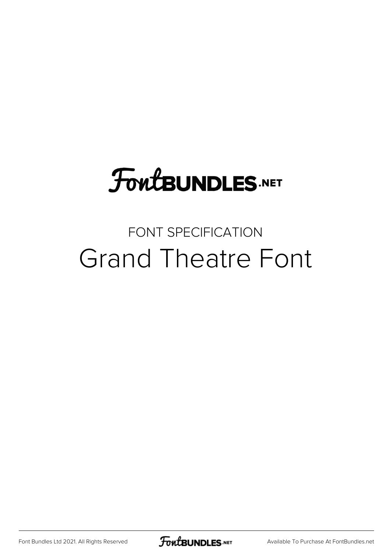# **FoutBUNDLES.NET**

#### FONT SPECIFICATION Grand Theatre Font

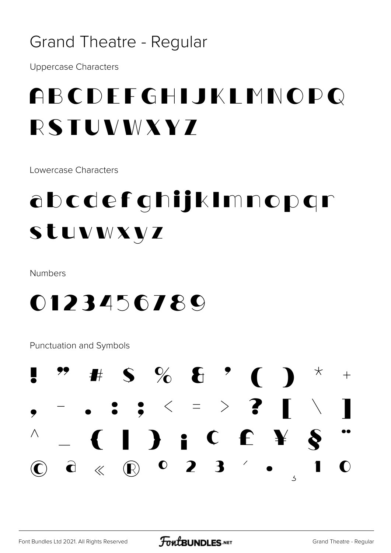#### **Grand Theatre - Regular**

**Uppercase Characters** 

### ABCDEFGHIJKLMNOPQ RSTUVWXYZ

Lowercase Characters

## abcdefghijklmnopgr Stuvwxyz

Numbers

#### 0123456789

Punctuation and Symbols

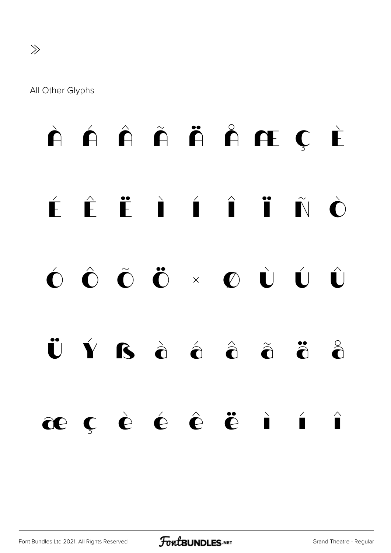#### All Other Glyphs